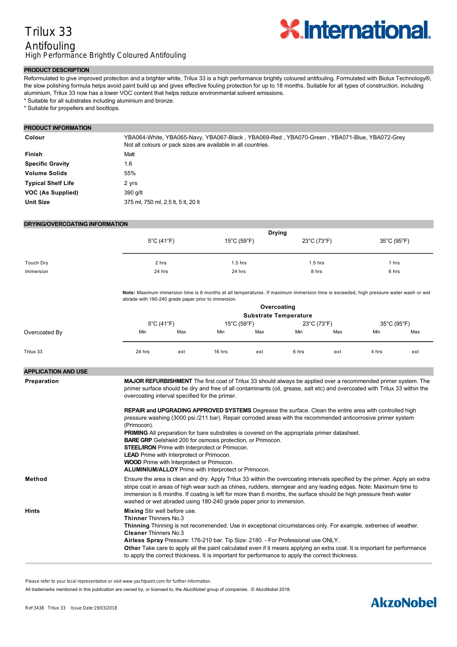## Trilux 33 Antifouling High Performance Brightly Coloured Antifouling



#### **PRODUCT DESCRIPTION**

Reformulated to give improved protection and a brighter white, Trilux 33 is a high performance brightly coloured antifouling. Formulated with Biolux Technology®, the slow polishing formula helps avoid paint build up and gives effective fouling protection for up to 18 months. Suitable for all types of construction, including aluminium, Trilux 33 now has a lower VOC content that helps reduce environmental solvent emissions.

\* Suitable for all substrates including aluminium and bronze.

\* Suitable for propellers and boottops.

#### **PRODUCT INFORMATION**

| Colour                    | YBA064-White, YBA065-Navy, YBA067-Black, YBA069-Red, YBA070-Green, YBA071-Blue, YBA072-Grey<br>Not all colours or pack sizes are available in all countries. |
|---------------------------|--------------------------------------------------------------------------------------------------------------------------------------------------------------|
| Finish                    | Matt                                                                                                                                                         |
| <b>Specific Gravity</b>   | 1.6                                                                                                                                                          |
| <b>Volume Solids</b>      | 55%                                                                                                                                                          |
| <b>Typical Shelf Life</b> | 2 yrs                                                                                                                                                        |
| <b>VOC (As Supplied)</b>  | 390 g/lt                                                                                                                                                     |
| <b>Unit Size</b>          | 375 ml, 750 ml, 2.5 lt, 5 lt, 20 lt                                                                                                                          |

#### **DRYING/OVERCOATING INFORMATION**

|           | <b>Drying</b>                                                                                                                                                                               |                                  |             |             |
|-----------|---------------------------------------------------------------------------------------------------------------------------------------------------------------------------------------------|----------------------------------|-------------|-------------|
|           | 5°C (41°F)                                                                                                                                                                                  | $15^{\circ}$ C (59 $^{\circ}$ F) | 23°C (73°F) | 35°C (95°F) |
| Touch Dry | 2 hrs                                                                                                                                                                                       | $1.5$ hrs                        | $1.5$ hrs   | 1 hrs       |
| Immersion | 24 hrs                                                                                                                                                                                      | 24 hrs                           | 8 hrs       | 6 hrs       |
|           | Note: Maximum immersion time is 6 months at all temperatures. If maximum immersion time is exceeded, high pressure water wash or wet<br>abrade with 180-240 grade paper prior to immersion. |                                  |             |             |

|               |                                 |     |                                  | Overcoating                  |             |     |             |     |
|---------------|---------------------------------|-----|----------------------------------|------------------------------|-------------|-----|-------------|-----|
|               |                                 |     |                                  | <b>Substrate Temperature</b> |             |     |             |     |
|               | $5^{\circ}$ C (41 $^{\circ}$ F) |     | $15^{\circ}$ C (59 $^{\circ}$ F) |                              | 23°C (73°F) |     | 35°C (95°F) |     |
| Overcoated By | Min                             | Max | Min                              | Max                          | Min         | Max | Min         | Max |
| Trilux 33     | 24 hrs                          | ext | 16 hrs                           | ext                          | 6 hrs       | ext | 4 hrs       | ext |

### **APPLICATION AND USE**

**Preparation MAJOR REFURBISHMENT** The first coat of Trilux 33 should always be applied over a recommended primer system. The primer surface should be dry and free of all contaminants (oil, grease, salt etc) and overcoated with Trilux 33 within the overcoating interval specified for the primer.

**REPAIR and UPGRADING APPROVED SYSTEMS** Degrease the surface. Clean the entire area with controlled high pressure washing (3000 psi./211 bar). Repair corroded areas with the recommended anticorrosive primer system (Primocon). **PRIMING** All preparation for bare substrates is covered on the appropriate primer datasheet. **BARE GRP** Gelshield 200 for osmosis protection, or Primocon. **STEEL/IRON** Prime with Interprotect or Primocon. **LEAD** Prime with Interprotect or Primocon. **WOOD** Prime with Interprotect or Primocon. **ALUMINIUM/ALLOY** Prime with Interprotect or Primocon. **Method** Ensure the area is clean and dry. Apply Trilux 33 within the overcoating intervals specified by the primer. Apply an extra stripe coat in areas of high wear such as chines, rudders, sterngear and any leading edges. Note: Maximum time to immersion is 6 months. If coating is left for more than 6 months, the surface should be high pressure fresh water washed or wet abraded using 180-240 grade paper prior to immersion. **Hints Mixing** Stir well before use. **Thinner** Thinners No.3 **Thinning** Thinning is not recommended. Use in exceptional circumstances only. For example, extremes of weather. **Cleaner** Thinners No.3 Airless Spray Pressure: 176-210 bar. Tip Size: 2180. - For Professional use ONLY.

**Some Important Points** If Trilux 33 is exposed for any period of time, e.g. over the winter, it must be high pressure fresh water washed before

**Other** Take care to apply all the paint calculated even if it means applying an extra coat. It is important for performance to apply the correct thickness. It is important for performance to apply the correct thickness.

Please refer to your local representative or visit www.yachtpaint.com for further information.

All trademarks mentioned in this publication are owned by, or licensed to, the AkzoNobel group of companies. © AkzoNobel 2018. Substrate temperature should be 3°C/5°F above dew point and maximum 35°C/95°F.